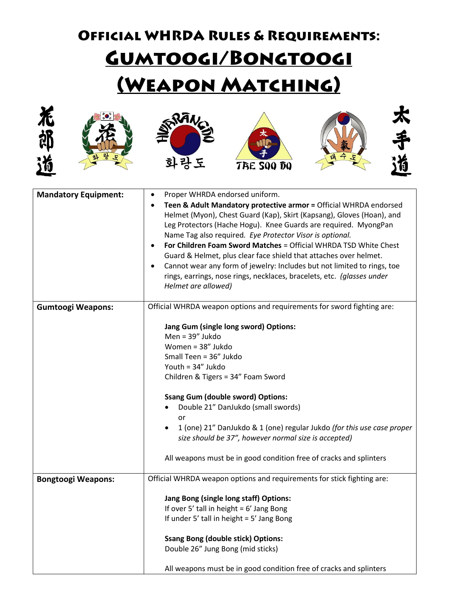## **OFFICIAL WHRDA RULES & REQUIREMENTS:** GUMTOOGI/BONGTOOGI (WEAPON MATCHING)













| <b>Mandatory Equipment:</b> | Proper WHRDA endorsed uniform.<br>$\bullet$                                                                                                 |
|-----------------------------|---------------------------------------------------------------------------------------------------------------------------------------------|
|                             | Teen & Adult Mandatory protective armor = Official WHRDA endorsed                                                                           |
|                             | Helmet (Myon), Chest Guard (Kap), Skirt (Kapsang), Gloves (Hoan), and                                                                       |
|                             | Leg Protectors (Hache Hogu). Knee Guards are required. MyongPan                                                                             |
|                             | Name Tag also required. Eye Protector Visor is optional.                                                                                    |
|                             | For Children Foam Sword Matches = Official WHRDA TSD White Chest                                                                            |
|                             | Guard & Helmet, plus clear face shield that attaches over helmet.                                                                           |
|                             | Cannot wear any form of jewelry: Includes but not limited to rings, toe                                                                     |
|                             | rings, earrings, nose rings, necklaces, bracelets, etc. (glasses under                                                                      |
|                             | Helmet are allowed)                                                                                                                         |
|                             |                                                                                                                                             |
| <b>Gumtoogi Weapons:</b>    | Official WHRDA weapon options and requirements for sword fighting are:                                                                      |
|                             | Jang Gum (single long sword) Options:                                                                                                       |
|                             | Men = 39" Jukdo                                                                                                                             |
|                             | Women = 38" Jukdo                                                                                                                           |
|                             | Small Teen = 36" Jukdo                                                                                                                      |
|                             | Youth = 34" Jukdo                                                                                                                           |
|                             | Children & Tigers = 34" Foam Sword                                                                                                          |
|                             | <b>Ssang Gum (double sword) Options:</b>                                                                                                    |
|                             | Double 21" DanJukdo (small swords)<br>$\bullet$                                                                                             |
|                             | or                                                                                                                                          |
|                             | 1 (one) 21" DanJukdo & 1 (one) regular Jukdo (for this use case proper<br>$\bullet$<br>size should be 37", however normal size is accepted) |
|                             | All weapons must be in good condition free of cracks and splinters                                                                          |
| <b>Bongtoogi Weapons:</b>   | Official WHRDA weapon options and requirements for stick fighting are:                                                                      |
|                             |                                                                                                                                             |
|                             | Jang Bong (single long staff) Options:                                                                                                      |
|                             | If over 5' tall in height = $6'$ Jang Bong                                                                                                  |
|                             | If under 5' tall in height = 5' Jang Bong                                                                                                   |
|                             | <b>Ssang Bong (double stick) Options:</b>                                                                                                   |
|                             | Double 26" Jung Bong (mid sticks)                                                                                                           |
|                             | All weapons must be in good condition free of cracks and splinters                                                                          |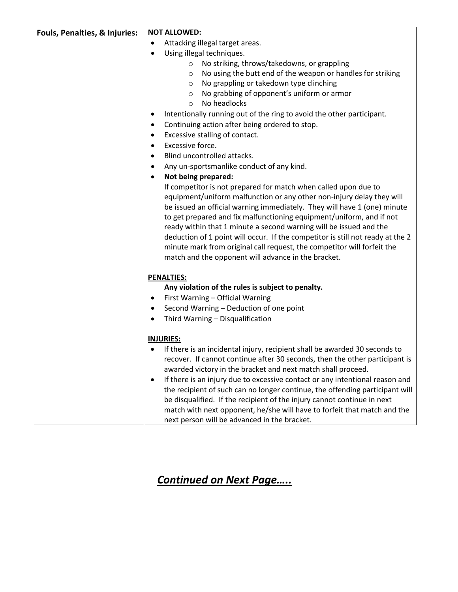| Fouls, Penalties, & Injuries: | <b>NOT ALLOWED:</b>                                                                       |
|-------------------------------|-------------------------------------------------------------------------------------------|
|                               | Attacking illegal target areas.<br>$\bullet$                                              |
|                               | Using illegal techniques.<br>$\bullet$                                                    |
|                               | No striking, throws/takedowns, or grappling<br>$\circ$                                    |
|                               | No using the butt end of the weapon or handles for striking<br>$\circ$                    |
|                               | No grappling or takedown type clinching<br>$\circ$                                        |
|                               | No grabbing of opponent's uniform or armor<br>$\circ$                                     |
|                               | No headlocks<br>$\circ$                                                                   |
|                               | Intentionally running out of the ring to avoid the other participant.                     |
|                               | Continuing action after being ordered to stop.<br>٠                                       |
|                               | Excessive stalling of contact.<br>٠                                                       |
|                               | Excessive force.<br>٠                                                                     |
|                               | Blind uncontrolled attacks.                                                               |
|                               | Any un-sportsmanlike conduct of any kind.<br>٠                                            |
|                               | Not being prepared:                                                                       |
|                               | If competitor is not prepared for match when called upon due to                           |
|                               | equipment/uniform malfunction or any other non-injury delay they will                     |
|                               | be issued an official warning immediately. They will have 1 (one) minute                  |
|                               | to get prepared and fix malfunctioning equipment/uniform, and if not                      |
|                               | ready within that 1 minute a second warning will be issued and the                        |
|                               | deduction of 1 point will occur. If the competitor is still not ready at the 2            |
|                               | minute mark from original call request, the competitor will forfeit the                   |
|                               | match and the opponent will advance in the bracket.                                       |
|                               |                                                                                           |
|                               | <b>PENALTIES:</b>                                                                         |
|                               | Any violation of the rules is subject to penalty.                                         |
|                               | First Warning - Official Warning<br>٠                                                     |
|                               | Second Warning - Deduction of one point                                                   |
|                               | Third Warning - Disqualification                                                          |
|                               | <b>INJURIES:</b>                                                                          |
|                               | If there is an incidental injury, recipient shall be awarded 30 seconds to                |
|                               | recover. If cannot continue after 30 seconds, then the other participant is               |
|                               | awarded victory in the bracket and next match shall proceed.                              |
|                               | If there is an injury due to excessive contact or any intentional reason and<br>$\bullet$ |
|                               | the recipient of such can no longer continue, the offending participant will              |
|                               | be disqualified. If the recipient of the injury cannot continue in next                   |
|                               | match with next opponent, he/she will have to forfeit that match and the                  |
|                               | next person will be advanced in the bracket.                                              |

## *Continued on Next Page…..*